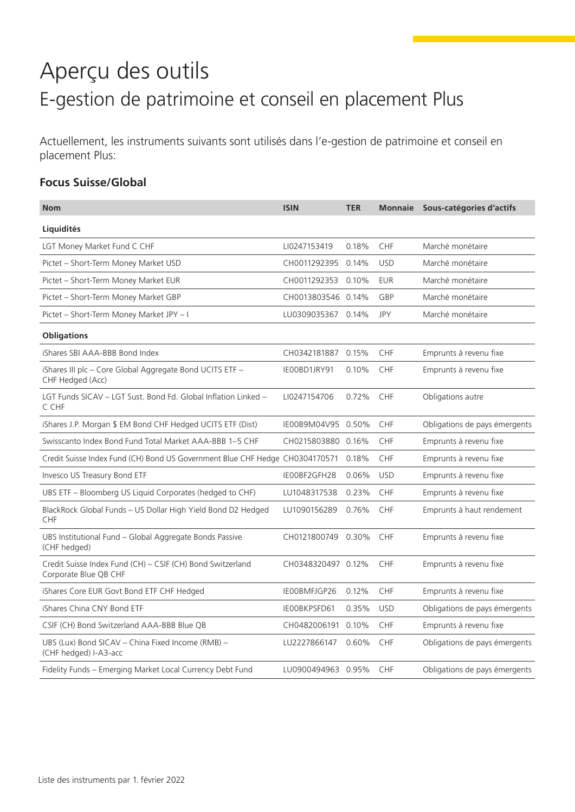# Aperçu des outils E-gestion de patrimoine et conseil en placement Plus

Actuellement, les instruments suivants sont utilisés dans l'e-gestion de patrimoine et conseil en placement Plus:

### **Focus Suisse/Global**

| <b>Nom</b>                                                                          | <b>ISIN</b>        | <b>TER</b> | <b>Monnaie</b> | Sous-catégories d'actifs      |
|-------------------------------------------------------------------------------------|--------------------|------------|----------------|-------------------------------|
| Liquidités                                                                          |                    |            |                |                               |
| LGT Money Market Fund C CHF                                                         | LI0247153419       | 0.18%      | CHF            | Marché monétaire              |
| Pictet - Short-Term Money Market USD                                                | CH0011292395 0.14% |            | <b>USD</b>     | Marché monétaire              |
| Pictet - Short-Term Money Market EUR                                                | CH0011292353       | 0.10%      | <b>EUR</b>     | Marché monétaire              |
| Pictet - Short-Term Money Market GBP                                                | CH0013803546 0.14% |            | GBP            | Marché monétaire              |
| Pictet - Short-Term Money Market JPY - I                                            | LU0309035367       | 0.14%      | <b>JPY</b>     | Marché monétaire              |
| <b>Obligations</b>                                                                  |                    |            |                |                               |
| iShares SBI AAA-BBB Bond Index                                                      | CH0342181887       | 0.15%      | CHF            | Emprunts à revenu fixe        |
| iShares III plc - Core Global Aggregate Bond UCITS ETF -<br>CHF Hedged (Acc)        | IE00BD1JRY91       | 0.10%      | CHF            | Emprunts à revenu fixe        |
| LGT Funds SICAV - LGT Sust. Bond Fd. Global Inflation Linked -<br>C CHF             | LI0247154706       | 0.72%      | CHF            | Obligations autre             |
| iShares J.P. Morgan \$ EM Bond CHF Hedged UCITS ETF (Dist)                          | IE00B9M04V95 0.50% |            | CHF            | Obligations de pays émergents |
| Swisscanto Index Bond Fund Total Market AAA-BBB 1-5 CHF                             | CH0215803880 0.16% |            | CHF            | Emprunts à revenu fixe        |
| Credit Suisse Index Fund (CH) Bond US Government Blue CHF Hedge CH0304170571        |                    | 0.18%      | <b>CHF</b>     | Emprunts à revenu fixe        |
| Invesco US Treasury Bond ETF                                                        | IE00BF2GFH28       | 0.06%      | <b>USD</b>     | Emprunts à revenu fixe        |
| UBS ETF - Bloomberg US Liquid Corporates (hedged to CHF)                            | LU1048317538       | 0.23%      | CHF            | Emprunts à revenu fixe        |
| BlackRock Global Funds - US Dollar High Yield Bond D2 Hedged<br>CHF                 | LU1090156289       | 0.76%      | <b>CHF</b>     | Emprunts à haut rendement     |
| UBS Institutional Fund - Global Aggregate Bonds Passive<br>(CHF hedged)             | CH0121800749       | 0.30%      | CHF            | Emprunts à revenu fixe        |
| Credit Suisse Index Fund (CH) - CSIF (CH) Bond Switzerland<br>Corporate Blue QB CHF | CH0348320497 0.12% |            | <b>CHF</b>     | Emprunts à revenu fixe        |
| iShares Core EUR Govt Bond ETF CHF Hedged                                           | IE00BMFJGP26       | 0.12%      | <b>CHF</b>     | Emprunts à revenu fixe        |
| iShares China CNY Bond ETF                                                          | IE00BKPSFD61       | 0.35%      | <b>USD</b>     | Obligations de pays émergents |
| CSIF (CH) Bond Switzerland AAA-BBB Blue QB                                          | CH0482006191 0.10% |            | <b>CHF</b>     | Emprunts à revenu fixe        |
| UBS (Lux) Bond SICAV - China Fixed Income (RMB) -<br>(CHF hedged) I-A3-acc          | LU2227866147       | 0.60%      | <b>CHF</b>     | Obligations de pays émergents |
| Fidelity Funds - Emerging Market Local Currency Debt Fund                           | LU0900494963 0.95% |            | <b>CHF</b>     | Obligations de pays émergents |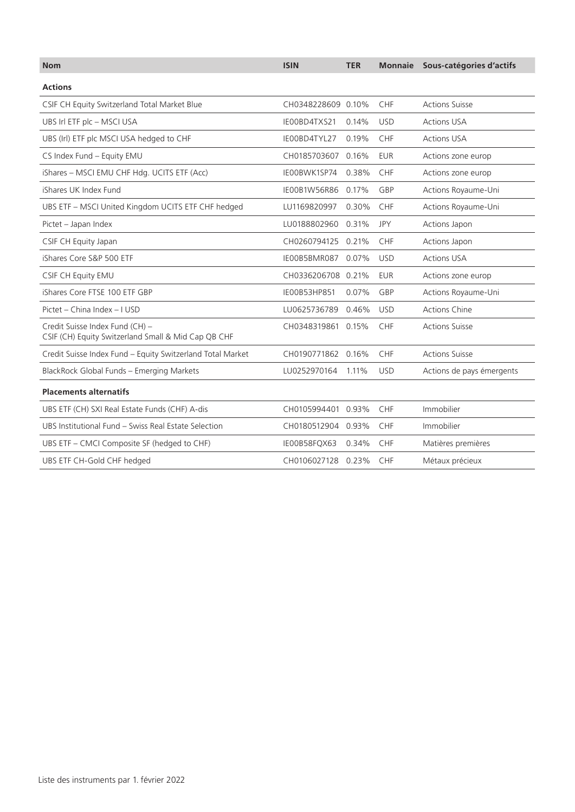| <b>Nom</b>                                                                             | <b>ISIN</b>        | <b>TER</b> |            | Monnaie Sous-catégories d'actifs |
|----------------------------------------------------------------------------------------|--------------------|------------|------------|----------------------------------|
| <b>Actions</b>                                                                         |                    |            |            |                                  |
| CSIF CH Equity Switzerland Total Market Blue                                           | CH0348228609 0.10% |            | CHF        | <b>Actions Suisse</b>            |
| UBS Irl ETF plc - MSCI USA                                                             | IE00BD4TXS21       | 0.14%      | <b>USD</b> | <b>Actions USA</b>               |
| UBS (Irl) ETF plc MSCI USA hedged to CHF                                               | IE00BD4TYL27       | 0.19%      | CHF        | <b>Actions USA</b>               |
| CS Index Fund - Equity EMU                                                             | CH0185703607       | 0.16%      | <b>EUR</b> | Actions zone europ               |
| iShares - MSCI EMU CHF Hdg. UCITS ETF (Acc)                                            | IE00BWK1SP74       | 0.38%      | <b>CHF</b> | Actions zone europ               |
| iShares UK Index Fund                                                                  | IE00B1W56R86       | 0.17%      | GBP        | Actions Royaume-Uni              |
| UBS ETF - MSCI United Kingdom UCITS ETF CHF hedged                                     | LU1169820997       | 0.30%      | <b>CHF</b> | Actions Royaume-Uni              |
| Pictet - Japan Index                                                                   | LU0188802960       | 0.31%      | <b>JPY</b> | Actions Japon                    |
| CSIF CH Equity Japan                                                                   | CH0260794125 0.21% |            | <b>CHF</b> | Actions Japon                    |
| iShares Core S&P 500 ETF                                                               | IE00B5BMR087       | 0.07%      | <b>USD</b> | <b>Actions USA</b>               |
| CSIF CH Equity EMU                                                                     | CH0336206708 0.21% |            | <b>EUR</b> | Actions zone europ               |
| iShares Core FTSE 100 ETF GBP                                                          | IE00B53HP851       | 0.07%      | GBP        | Actions Royaume-Uni              |
| Pictet - China Index - I USD                                                           | LU0625736789       | 0.46%      | <b>USD</b> | <b>Actions Chine</b>             |
| Credit Suisse Index Fund (CH) -<br>CSIF (CH) Equity Switzerland Small & Mid Cap QB CHF | CH0348319861 0.15% |            | <b>CHF</b> | <b>Actions Suisse</b>            |
| Credit Suisse Index Fund - Equity Switzerland Total Market                             | CH0190771862 0.16% |            | CHF        | <b>Actions Suisse</b>            |
| BlackRock Global Funds - Emerging Markets                                              | LU0252970164 1.11% |            | <b>USD</b> | Actions de pays émergents        |
| <b>Placements alternatifs</b>                                                          |                    |            |            |                                  |
| UBS ETF (CH) SXI Real Estate Funds (CHF) A-dis                                         | CH0105994401 0.93% |            | <b>CHF</b> | Immobilier                       |
| UBS Institutional Fund - Swiss Real Estate Selection                                   | CH0180512904 0.93% |            | <b>CHF</b> | Immobilier                       |
| UBS ETF - CMCI Composite SF (hedged to CHF)                                            | IE00B58FQX63       | 0.34%      | <b>CHF</b> | Matières premières               |
| UBS ETF CH-Gold CHF hedged                                                             | CH0106027128 0.23% |            | <b>CHF</b> | Métaux précieux                  |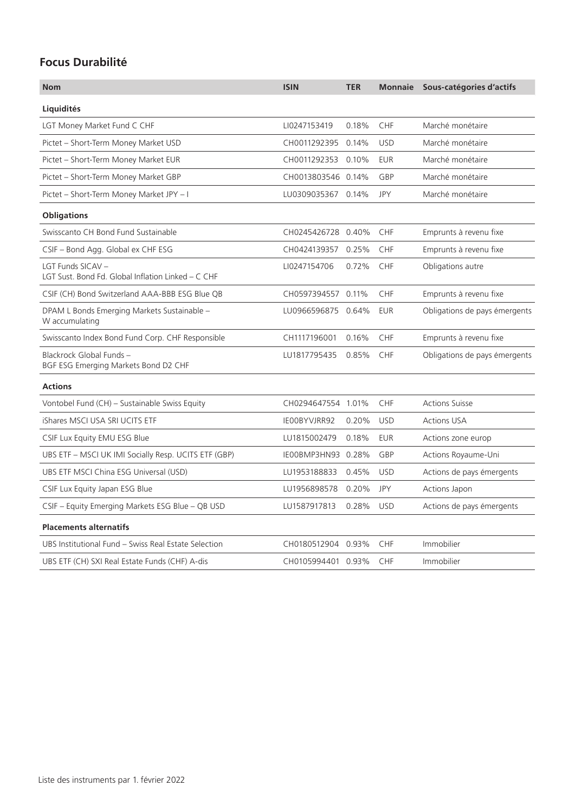### **Focus Durabilité**

| <b>Nom</b>                                                              | <b>ISIN</b>        | <b>TER</b> | <b>Monnaie</b> | Sous-catégories d'actifs      |
|-------------------------------------------------------------------------|--------------------|------------|----------------|-------------------------------|
| Liquidités                                                              |                    |            |                |                               |
| LGT Money Market Fund C CHF                                             | LI0247153419       | 0.18%      | <b>CHF</b>     | Marché monétaire              |
| Pictet - Short-Term Money Market USD                                    | CH0011292395 0.14% |            | <b>USD</b>     | Marché monétaire              |
| Pictet - Short-Term Money Market EUR                                    | CH0011292353 0.10% |            | <b>EUR</b>     | Marché monétaire              |
| Pictet - Short-Term Money Market GBP                                    | CH0013803546 0.14% |            | GBP            | Marché monétaire              |
| Pictet - Short-Term Money Market JPY - I                                | LU0309035367 0.14% |            | JPY            | Marché monétaire              |
| <b>Obligations</b>                                                      |                    |            |                |                               |
| Swisscanto CH Bond Fund Sustainable                                     | CH0245426728 0.40% |            | CHF            | Emprunts à revenu fixe        |
| CSIF - Bond Agg. Global ex CHF ESG                                      | CH0424139357 0.25% |            | <b>CHF</b>     | Emprunts à revenu fixe        |
| LGT Funds SICAV -<br>LGT Sust. Bond Fd. Global Inflation Linked – C CHF | LI0247154706       | 0.72%      | CHF            | Obligations autre             |
| CSIF (CH) Bond Switzerland AAA-BBB ESG Blue QB                          | CH0597394557 0.11% |            | CHF            | Emprunts à revenu fixe        |
| DPAM L Bonds Emerging Markets Sustainable -<br>W accumulating           | LU0966596875 0.64% |            | <b>EUR</b>     | Obligations de pays émergents |
| Swisscanto Index Bond Fund Corp. CHF Responsible                        | CH1117196001       | 0.16%      | <b>CHF</b>     | Emprunts à revenu fixe        |
| Blackrock Global Funds -<br>BGF ESG Emerging Markets Bond D2 CHF        | LU1817795435       | 0.85%      | <b>CHF</b>     | Obligations de pays émergents |
| <b>Actions</b>                                                          |                    |            |                |                               |
| Vontobel Fund (CH) - Sustainable Swiss Equity                           | CH0294647554 1.01% |            | <b>CHF</b>     | <b>Actions Suisse</b>         |
| iShares MSCI USA SRI UCITS ETF                                          | IE00BYVJRR92       | 0.20%      | <b>USD</b>     | <b>Actions USA</b>            |
| CSIF Lux Equity EMU ESG Blue                                            | LU1815002479       | 0.18%      | <b>EUR</b>     | Actions zone europ            |
| UBS ETF - MSCI UK IMI Socially Resp. UCITS ETF (GBP)                    | IE00BMP3HN93 0.28% |            | GBP            | Actions Royaume-Uni           |
| UBS ETF MSCI China ESG Universal (USD)                                  | LU1953188833       | 0.45%      | <b>USD</b>     | Actions de pays émergents     |
| CSIF Lux Equity Japan ESG Blue                                          | LU1956898578       | 0.20%      | JPY            | Actions Japon                 |
| CSIF - Equity Emerging Markets ESG Blue - QB USD                        | LU1587917813       | 0.28%      | <b>USD</b>     | Actions de pays émergents     |
| <b>Placements alternatifs</b>                                           |                    |            |                |                               |
| UBS Institutional Fund - Swiss Real Estate Selection                    | CH0180512904 0.93% |            | CHF            | Immobilier                    |
| UBS ETF (CH) SXI Real Estate Funds (CHF) A-dis                          | CH0105994401 0.93% |            | <b>CHF</b>     | Immobilier                    |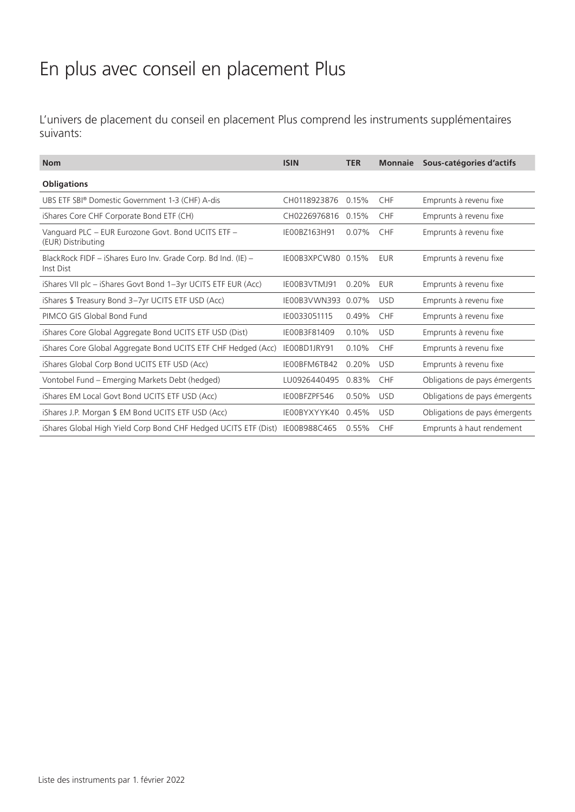## En plus avec conseil en placement Plus

L'univers de placement du conseil en placement Plus comprend les instruments supplémentaires suivants:

| <b>Nom</b>                                                                 | <b>ISIN</b>        | <b>TER</b> | <b>Monnaie</b> | Sous-catégories d'actifs      |
|----------------------------------------------------------------------------|--------------------|------------|----------------|-------------------------------|
| <b>Obligations</b>                                                         |                    |            |                |                               |
| UBS ETF SBI® Domestic Government 1-3 (CHF) A-dis                           | CH0118923876       | 0.15%      | CHF            | Emprunts à revenu fixe        |
| iShares Core CHF Corporate Bond ETF (CH)                                   | CH0226976816       | 0.15%      | <b>CHF</b>     | Emprunts à revenu fixe        |
| Vanguard PLC - EUR Eurozone Govt. Bond UCITS ETF -<br>(EUR) Distributing   | IE00BZ163H91       | 0.07%      | <b>CHF</b>     | Emprunts à revenu fixe        |
| BlackRock FIDF - iShares Euro Inv. Grade Corp. Bd Ind. (IE) -<br>Inst Dist | IE00B3XPCW80 0.15% |            | EUR            | Emprunts à revenu fixe        |
| iShares VII plc - iShares Govt Bond 1-3yr UCITS ETF EUR (Acc)              | IE00B3VTMJ91       | 0.20%      | <b>EUR</b>     | Emprunts à revenu fixe        |
| iShares \$ Treasury Bond 3-7yr UCITS ETF USD (Acc)                         | IE00B3VWN393       | 0.07%      | <b>USD</b>     | Emprunts à revenu fixe        |
| PIMCO GIS Global Bond Fund                                                 | IE0033051115       | 0.49%      | <b>CHF</b>     | Emprunts à revenu fixe        |
| iShares Core Global Aggregate Bond UCITS ETF USD (Dist)                    | IE00B3F81409       | 0.10%      | <b>USD</b>     | Emprunts à revenu fixe        |
| iShares Core Global Aggregate Bond UCITS ETF CHF Hedged (Acc)              | IE00BD1JRY91       | 0.10%      | <b>CHF</b>     | Emprunts à revenu fixe        |
| iShares Global Corp Bond UCITS ETF USD (Acc)                               | IE00BFM6TB42       | 0.20%      | <b>USD</b>     | Emprunts à revenu fixe        |
| Vontobel Fund - Emerging Markets Debt (hedged)                             | LU0926440495       | 0.83%      | CHF            | Obligations de pays émergents |
| iShares EM Local Govt Bond UCITS ETF USD (Acc)                             | IEOOBFZPF546       | 0.50%      | <b>USD</b>     | Obligations de pays émergents |
| iShares J.P. Morgan \$ EM Bond UCITS ETF USD (Acc)                         | IE00BYXYYK40       | 0.45%      | <b>USD</b>     | Obligations de pays émergents |
| iShares Global High Yield Corp Bond CHF Hedged UCITS ETF (Dist)            | IE00B988C465       | 0.55%      | <b>CHF</b>     | Emprunts à haut rendement     |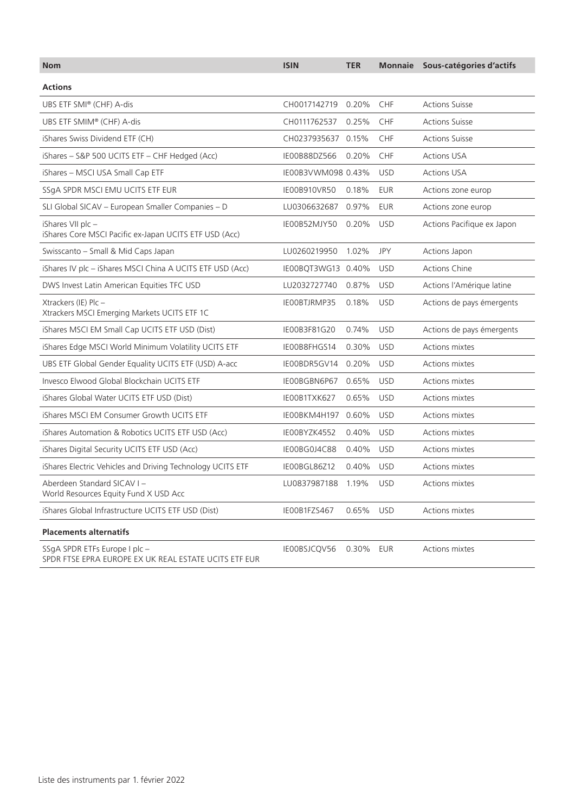| <b>Nom</b>                                                                             | <b>ISIN</b>        | <b>TER</b> | <b>Monnaie</b> | Sous-catégories d'actifs   |
|----------------------------------------------------------------------------------------|--------------------|------------|----------------|----------------------------|
| <b>Actions</b>                                                                         |                    |            |                |                            |
| UBS ETF SMI® (CHF) A-dis                                                               | CH0017142719 0.20% |            | <b>CHF</b>     | <b>Actions Suisse</b>      |
| UBS ETF SMIM® (CHF) A-dis                                                              | CH0111762537       | 0.25%      | CHF            | <b>Actions Suisse</b>      |
| iShares Swiss Dividend ETF (CH)                                                        | CH0237935637 0.15% |            | CHF            | <b>Actions Suisse</b>      |
| iShares - S&P 500 UCITS ETF - CHF Hedged (Acc)                                         | IE00B88DZ566       | 0.20%      | <b>CHF</b>     | <b>Actions USA</b>         |
| iShares - MSCI USA Small Cap ETF                                                       | IE00B3VWM098 0.43% |            | <b>USD</b>     | <b>Actions USA</b>         |
| SSgA SPDR MSCI EMU UCITS ETF EUR                                                       | IE00B910VR50       | 0.18%      | <b>EUR</b>     | Actions zone europ         |
| SLI Global SICAV - European Smaller Companies - D                                      | LU0306632687 0.97% |            | <b>EUR</b>     | Actions zone europ         |
| iShares VII plc -<br>iShares Core MSCI Pacific ex-Japan UCITS ETF USD (Acc)            | IE00B52MJY50 0.20% |            | <b>USD</b>     | Actions Pacifique ex Japon |
| Swisscanto - Small & Mid Caps Japan                                                    | LU0260219950       | 1.02%      | <b>JPY</b>     | Actions Japon              |
| iShares IV plc - iShares MSCI China A UCITS ETF USD (Acc)                              | IE00BQT3WG13 0.40% |            | <b>USD</b>     | <b>Actions Chine</b>       |
| DWS Invest Latin American Equities TFC USD                                             | LU2032727740 0.87% |            | <b>USD</b>     | Actions l'Amérique latine  |
| Xtrackers (IE) Plc -<br>Xtrackers MSCI Emerging Markets UCITS ETF 1C                   | IEOOBTJRMP35       | 0.18%      | <b>USD</b>     | Actions de pays émergents  |
| iShares MSCI EM Small Cap UCITS ETF USD (Dist)                                         | IE00B3F81G20       | 0.74%      | <b>USD</b>     | Actions de pays émergents  |
| iShares Edge MSCI World Minimum Volatility UCITS ETF                                   | IE00B8FHGS14       | 0.30%      | <b>USD</b>     | Actions mixtes             |
| UBS ETF Global Gender Equality UCITS ETF (USD) A-acc                                   | IE00BDR5GV14 0.20% |            | <b>USD</b>     | Actions mixtes             |
| Invesco Elwood Global Blockchain UCITS ETF                                             | IE00BGBN6P67 0.65% |            | <b>USD</b>     | Actions mixtes             |
| iShares Global Water UCITS ETF USD (Dist)                                              | IE00B1TXK627       | 0.65%      | <b>USD</b>     | Actions mixtes             |
| iShares MSCI EM Consumer Growth UCITS ETF                                              | IE00BKM4H197 0.60% |            | <b>USD</b>     | Actions mixtes             |
| iShares Automation & Robotics UCITS ETF USD (Acc)                                      | IE00BYZK4552       | 0.40%      | <b>USD</b>     | Actions mixtes             |
| iShares Digital Security UCITS ETF USD (Acc)                                           | IE00BG0J4C88       | 0.40%      | <b>USD</b>     | Actions mixtes             |
| iShares Electric Vehicles and Driving Technology UCITS ETF                             | IE00BGL86Z12       | 0.40%      | <b>USD</b>     | Actions mixtes             |
| Aberdeen Standard SICAV I-<br>World Resources Equity Fund X USD Acc                    | LU0837987188 1.19% |            | <b>USD</b>     | Actions mixtes             |
| iShares Global Infrastructure UCITS ETF USD (Dist)                                     | IE00B1FZS467       | 0.65%      | <b>USD</b>     | Actions mixtes             |
| <b>Placements alternatifs</b>                                                          |                    |            |                |                            |
| SSgA SPDR ETFs Europe I plc -<br>SPDR FTSE EPRA EUROPE EX UK REAL ESTATE UCITS ETF EUR | IE00BSJCQV56       | 0.30%      | EUR            | Actions mixtes             |